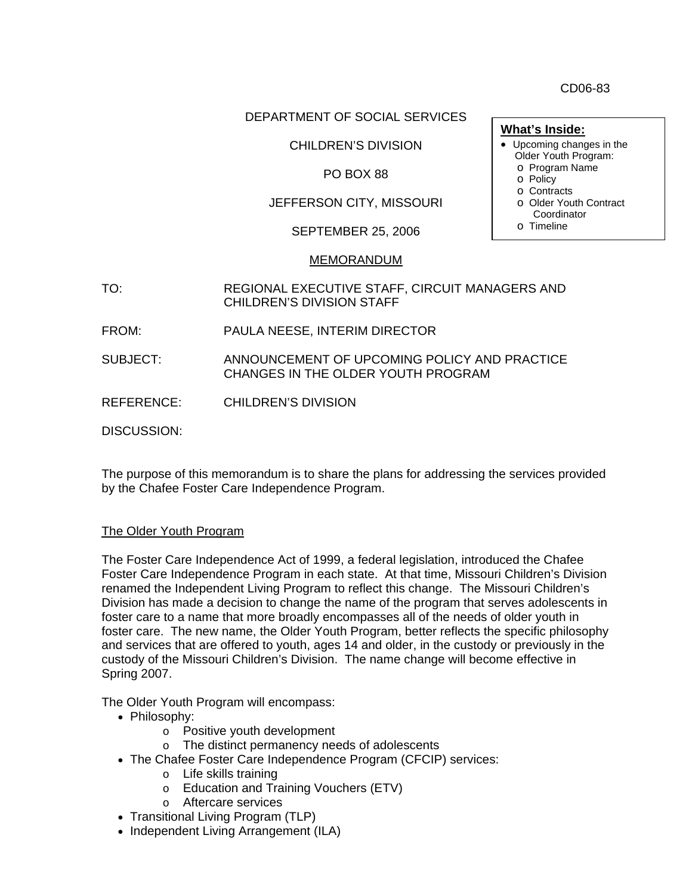CD06-83

### DEPARTMENT OF SOCIAL SERVICES

## CHILDREN'S DIVISION

### PO BOX 88

# JEFFERSON CITY, MISSOURI

SEPTEMBER 25, 2006

#### MEMORANDUM

- TO: REGIONAL EXECUTIVE STAFF, CIRCUIT MANAGERS AND CHILDREN'S DIVISION STAFF
- FROM: PAULA NEESE, INTERIM DIRECTOR

SUBJECT: ANNOUNCEMENT OF UPCOMING POLICY AND PRACTICE CHANGES IN THE OLDER YOUTH PROGRAM

REFERENCE: CHILDREN'S DIVISION

DISCUSSION:

The purpose of this memorandum is to share the plans for addressing the services provided by the Chafee Foster Care Independence Program.

#### The Older Youth Program

The Foster Care Independence Act of 1999, a federal legislation, introduced the Chafee Foster Care Independence Program in each state. At that time, Missouri Children's Division renamed the Independent Living Program to reflect this change. The Missouri Children's Division has made a decision to change the name of the program that serves adolescents in foster care to a name that more broadly encompasses all of the needs of older youth in foster care. The new name, the Older Youth Program, better reflects the specific philosophy and services that are offered to youth, ages 14 and older, in the custody or previously in the custody of the Missouri Children's Division. The name change will become effective in Spring 2007.

The Older Youth Program will encompass:

- Philosophy:
	- o Positive youth development
	- o The distinct permanency needs of adolescents
- The Chafee Foster Care Independence Program (CFCIP) services:
	- o Life skills training
	- o Education and Training Vouchers (ETV)
	- o Aftercare services
- Transitional Living Program (TLP)
- Independent Living Arrangement (ILA)
- **What's Inside:**
- Upcoming changes in the Older Youth Program:
	- o Program Name
	- o Policy
	- o Contracts
	- o Older Youth Contract Coordinator
	- o Timeline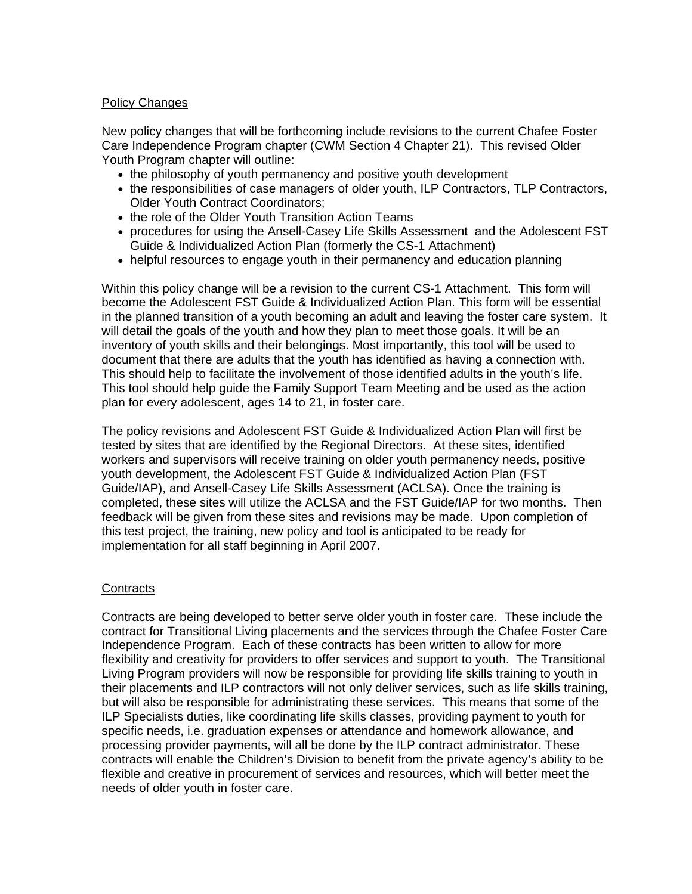## Policy Changes

New policy changes that will be forthcoming include revisions to the current Chafee Foster Care Independence Program chapter (CWM Section 4 Chapter 21). This revised Older Youth Program chapter will outline:

- the philosophy of youth permanency and positive youth development
- the responsibilities of case managers of older youth, ILP Contractors, TLP Contractors, Older Youth Contract Coordinators;
- the role of the Older Youth Transition Action Teams
- procedures for using the Ansell-Casey Life Skills Assessment and the Adolescent FST Guide & Individualized Action Plan (formerly the CS-1 Attachment)
- helpful resources to engage youth in their permanency and education planning

Within this policy change will be a revision to the current CS-1 Attachment. This form will become the Adolescent FST Guide & Individualized Action Plan. This form will be essential in the planned transition of a youth becoming an adult and leaving the foster care system. It will detail the goals of the youth and how they plan to meet those goals. It will be an inventory of youth skills and their belongings. Most importantly, this tool will be used to document that there are adults that the youth has identified as having a connection with. This should help to facilitate the involvement of those identified adults in the youth's life. This tool should help guide the Family Support Team Meeting and be used as the action plan for every adolescent, ages 14 to 21, in foster care.

The policy revisions and Adolescent FST Guide & Individualized Action Plan will first be tested by sites that are identified by the Regional Directors. At these sites, identified workers and supervisors will receive training on older youth permanency needs, positive youth development, the Adolescent FST Guide & Individualized Action Plan (FST Guide/IAP), and Ansell-Casey Life Skills Assessment (ACLSA). Once the training is completed, these sites will utilize the ACLSA and the FST Guide/IAP for two months. Then feedback will be given from these sites and revisions may be made. Upon completion of this test project, the training, new policy and tool is anticipated to be ready for implementation for all staff beginning in April 2007.

# **Contracts**

Contracts are being developed to better serve older youth in foster care. These include the contract for Transitional Living placements and the services through the Chafee Foster Care Independence Program. Each of these contracts has been written to allow for more flexibility and creativity for providers to offer services and support to youth. The Transitional Living Program providers will now be responsible for providing life skills training to youth in their placements and ILP contractors will not only deliver services, such as life skills training, but will also be responsible for administrating these services. This means that some of the ILP Specialists duties, like coordinating life skills classes, providing payment to youth for specific needs, i.e. graduation expenses or attendance and homework allowance, and processing provider payments, will all be done by the ILP contract administrator. These contracts will enable the Children's Division to benefit from the private agency's ability to be flexible and creative in procurement of services and resources, which will better meet the needs of older youth in foster care.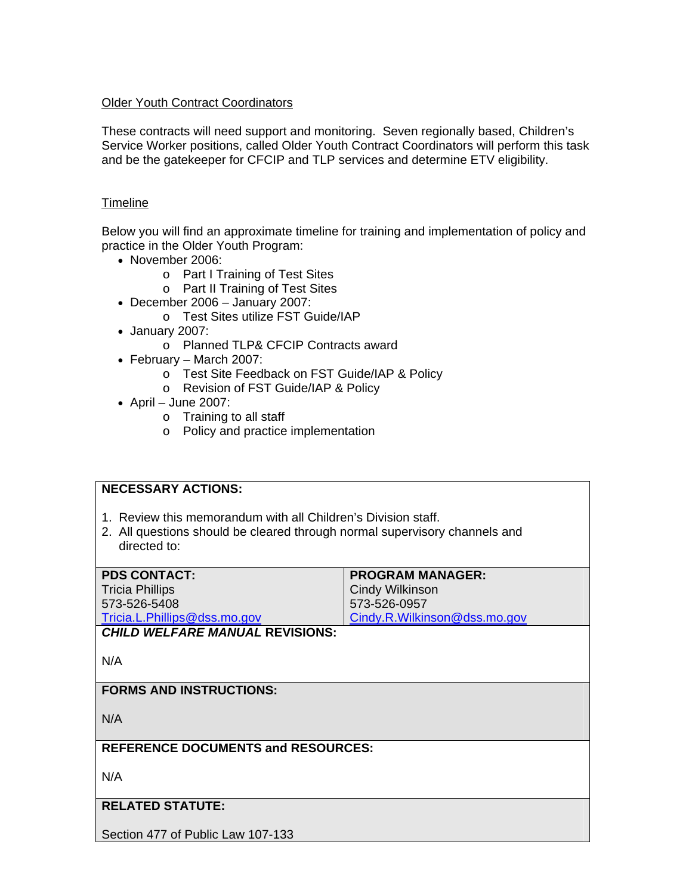## Older Youth Contract Coordinators

These contracts will need support and monitoring. Seven regionally based, Children's Service Worker positions, called Older Youth Contract Coordinators will perform this task and be the gatekeeper for CFCIP and TLP services and determine ETV eligibility.

### **Timeline**

Below you will find an approximate timeline for training and implementation of policy and practice in the Older Youth Program:

- November 2006:
	- o Part I Training of Test Sites
	- o Part II Training of Test Sites
- December 2006 January 2007:
	- o Test Sites utilize FST Guide/IAP
- January 2007:
	- o Planned TLP& CFCIP Contracts award
- February March 2007:
	- o Test Site Feedback on FST Guide/IAP & Policy
	- o Revision of FST Guide/IAP & Policy
- April June 2007:
	- o Training to all staff
	- o Policy and practice implementation

| <b>NECESSARY ACTIONS:</b>                                                  |                              |
|----------------------------------------------------------------------------|------------------------------|
|                                                                            |                              |
| 1. Review this memorandum with all Children's Division staff.              |                              |
| 2. All questions should be cleared through normal supervisory channels and |                              |
| directed to:                                                               |                              |
|                                                                            |                              |
| <b>PDS CONTACT:</b>                                                        | <b>PROGRAM MANAGER:</b>      |
| <b>Tricia Phillips</b>                                                     | <b>Cindy Wilkinson</b>       |
| 573-526-5408                                                               | 573-526-0957                 |
| Tricia.L.Phillips@dss.mo.gov                                               | Cindy.R.Wilkinson@dss.mo.gov |
| <b>CHILD WELFARE MANUAL REVISIONS:</b>                                     |                              |
|                                                                            |                              |
| N/A                                                                        |                              |
|                                                                            |                              |
| <b>FORMS AND INSTRUCTIONS:</b>                                             |                              |
|                                                                            |                              |
| N/A                                                                        |                              |
|                                                                            |                              |
| <b>REFERENCE DOCUMENTS and RESOURCES:</b>                                  |                              |
|                                                                            |                              |
| N/A                                                                        |                              |
|                                                                            |                              |
|                                                                            |                              |
| <b>RELATED STATUTE:</b>                                                    |                              |
|                                                                            |                              |
| Section 477 of Public Law 107-133                                          |                              |